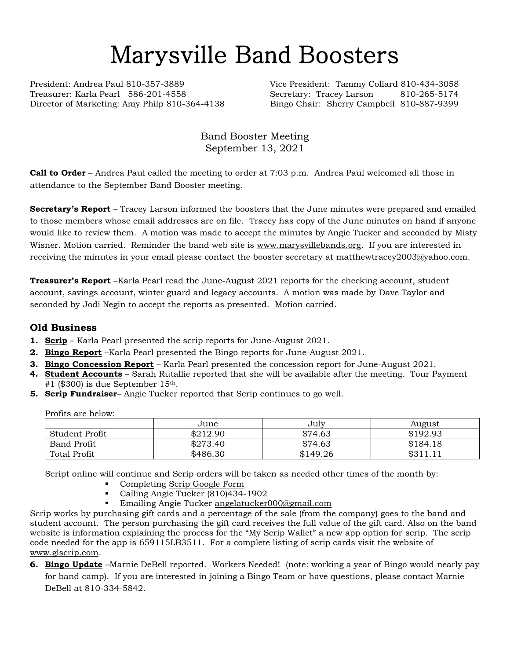# Marysville Band Boosters

President: Andrea Paul 810-357-3889 Vice President: Tammy Collard 810-434-3058 Treasurer: Karla Pearl 586-201-4558 Secretary: Tracey Larson 810-265-5174 Director of Marketing: Amy Philp 810-364-4138 Bingo Chair: Sherry Campbell 810-887-9399

Band Booster Meeting September 13, 2021

**Call to Order** – Andrea Paul called the meeting to order at 7:03 p.m. Andrea Paul welcomed all those in attendance to the September Band Booster meeting.

**Secretary's Report** – Tracey Larson informed the boosters that the June minutes were prepared and emailed to those members whose email addresses are on file. Tracey has copy of the June minutes on hand if anyone would like to review them. A motion was made to accept the minutes by Angie Tucker and seconded by Misty Wisner. Motion carried. Reminder the band web site is [www.marysvillebands.org.](http://www.marysvillebands.org/) If you are interested in receiving the minutes in your email please contact the booster secretary at matthewtracey2003@yahoo.com.

**Treasurer's Report** –Karla Pearl read the June-August 2021 reports for the checking account, student account, savings account, winter guard and legacy accounts. A motion was made by Dave Taylor and seconded by Jodi Negin to accept the reports as presented. Motion carried.

#### **Old Business**

- **1. Scrip** Karla Pearl presented the scrip reports for June-August 2021.
- **2. Bingo Report** –Karla Pearl presented the Bingo reports for June-August 2021.
- **3. Bingo Concession Report** Karla Pearl presented the concession report for June-August 2021.
- **4. Student Accounts** Sarah Rutallie reported that she will be available after the meeting. Tour Payment  $#1$  (\$300) is due September 15<sup>th</sup>.
- **5. Scrip Fundraiser** Angie Tucker reported that Scrip continues to go well.

Profits are below:

|                | June     | July     | August                  |
|----------------|----------|----------|-------------------------|
| Student Profit | \$212.90 | \$74.63  | \$192.93                |
| Band Profit    | \$273.40 | \$74.63  | \$184.18                |
| Total Profit   | \$486.30 | \$149.26 | <b>¢ 211</b><br>0.11.11 |

Script online will continue and Scrip orders will be taken as needed other times of the month by:

- Completing [Scrip Google Form](https://forms.gle/Ryvw2wHxTdg1j3Yj6)
- Calling Angie Tucker (810)434-1902
- Emailing Angie Tucker [angelatucker000@gmail.com](mailto:angelatucker000@gmail.com)

Scrip works by purchasing gift cards and a percentage of the sale (from the company) goes to the band and student account. The person purchasing the gift card receives the full value of the gift card. Also on the band website is information explaining the process for the "My Scrip Wallet" a new app option for scrip. The scrip code needed for the app is 659115LB3511. For a complete listing of scrip cards visit the website of [www.glscrip.com.](http://www.glscrip.com/)

**6. Bingo Update** –Marnie DeBell reported. Workers Needed! (note: working a year of Bingo would nearly pay for band camp). If you are interested in joining a Bingo Team or have questions, please contact Marnie DeBell at 810-334-5842.